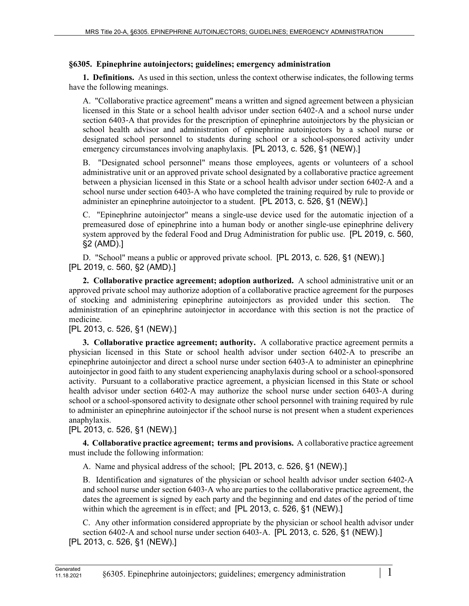## **§6305. Epinephrine autoinjectors; guidelines; emergency administration**

**1. Definitions.** As used in this section, unless the context otherwise indicates, the following terms have the following meanings.

A. "Collaborative practice agreement" means a written and signed agreement between a physician licensed in this State or a school health advisor under section 6402‑A and a school nurse under section 6403–A that provides for the prescription of epinephrine autoinjectors by the physician or school health advisor and administration of epinephrine autoinjectors by a school nurse or designated school personnel to students during school or a school-sponsored activity under emergency circumstances involving anaphylaxis. [PL 2013, c. 526, §1 (NEW).]

B. "Designated school personnel" means those employees, agents or volunteers of a school administrative unit or an approved private school designated by a collaborative practice agreement between a physician licensed in this State or a school health advisor under section 6402‑A and a school nurse under section 6403‑A who have completed the training required by rule to provide or administer an epinephrine autoinjector to a student. [PL 2013, c. 526, §1 (NEW).]

C. "Epinephrine autoinjector" means a single-use device used for the automatic injection of a premeasured dose of epinephrine into a human body or another single-use epinephrine delivery system approved by the federal Food and Drug Administration for public use. [PL 2019, c. 560, §2 (AMD).]

D. "School" means a public or approved private school. [PL 2013, c. 526, §1 (NEW).] [PL 2019, c. 560, §2 (AMD).]

**2. Collaborative practice agreement; adoption authorized.** A school administrative unit or an approved private school may authorize adoption of a collaborative practice agreement for the purposes of stocking and administering epinephrine autoinjectors as provided under this section. The administration of an epinephrine autoinjector in accordance with this section is not the practice of medicine.

## [PL 2013, c. 526, §1 (NEW).]

**3. Collaborative practice agreement; authority.** A collaborative practice agreement permits a physician licensed in this State or school health advisor under section 6402‑A to prescribe an epinephrine autoinjector and direct a school nurse under section 6403‑A to administer an epinephrine autoinjector in good faith to any student experiencing anaphylaxis during school or a school-sponsored activity. Pursuant to a collaborative practice agreement, a physician licensed in this State or school health advisor under section 6402-A may authorize the school nurse under section 6403-A during school or a school-sponsored activity to designate other school personnel with training required by rule to administer an epinephrine autoinjector if the school nurse is not present when a student experiences anaphylaxis.

[PL 2013, c. 526, §1 (NEW).]

**4. Collaborative practice agreement; terms and provisions.** A collaborative practice agreement must include the following information:

A. Name and physical address of the school; [PL 2013, c. 526, §1 (NEW).]

B. Identification and signatures of the physician or school health advisor under section 6402‑A and school nurse under section 6403‑A who are parties to the collaborative practice agreement, the dates the agreement is signed by each party and the beginning and end dates of the period of time within which the agreement is in effect; and [PL 2013, c. 526, §1 (NEW).]

C. Any other information considered appropriate by the physician or school health advisor under section 6402-A and school nurse under section 6403-A. [PL 2013, c. 526, §1 (NEW).]

[PL 2013, c. 526, §1 (NEW).]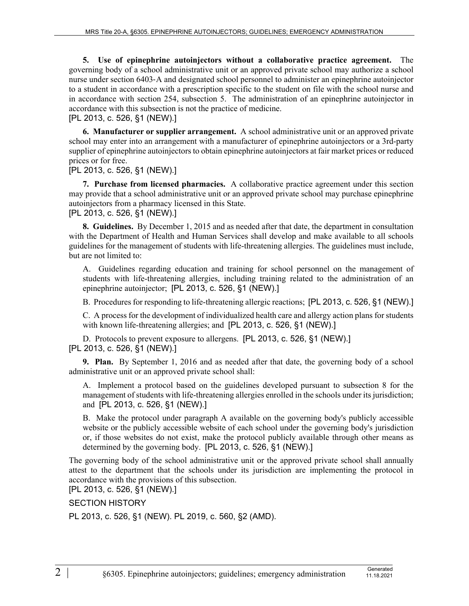**5. Use of epinephrine autoinjectors without a collaborative practice agreement.** The governing body of a school administrative unit or an approved private school may authorize a school nurse under section 6403‑A and designated school personnel to administer an epinephrine autoinjector to a student in accordance with a prescription specific to the student on file with the school nurse and in accordance with section 254, subsection 5. The administration of an epinephrine autoinjector in accordance with this subsection is not the practice of medicine.

[PL 2013, c. 526, §1 (NEW).]

**6. Manufacturer or supplier arrangement.** A school administrative unit or an approved private school may enter into an arrangement with a manufacturer of epinephrine autoinjectors or a 3rd-party supplier of epinephrine autoinjectors to obtain epinephrine autoinjectors at fair market prices or reduced prices or for free.

[PL 2013, c. 526, §1 (NEW).]

**7. Purchase from licensed pharmacies.** A collaborative practice agreement under this section may provide that a school administrative unit or an approved private school may purchase epinephrine autoinjectors from a pharmacy licensed in this State.

[PL 2013, c. 526, §1 (NEW).]

**8. Guidelines.** By December 1, 2015 and as needed after that date, the department in consultation with the Department of Health and Human Services shall develop and make available to all schools guidelines for the management of students with life-threatening allergies. The guidelines must include, but are not limited to:

A. Guidelines regarding education and training for school personnel on the management of students with life-threatening allergies, including training related to the administration of an epinephrine autoinjector; [PL 2013, c. 526, §1 (NEW).]

B. Procedures for responding to life-threatening allergic reactions; [PL 2013, c. 526, §1 (NEW).]

C. A process for the development of individualized health care and allergy action plans for students with known life-threatening allergies; and [PL 2013, c. 526, §1 (NEW).]

D. Protocols to prevent exposure to allergens. [PL 2013, c. 526, §1 (NEW).] [PL 2013, c. 526, §1 (NEW).]

**9. Plan.** By September 1, 2016 and as needed after that date, the governing body of a school administrative unit or an approved private school shall:

A. Implement a protocol based on the guidelines developed pursuant to subsection 8 for the management of students with life-threatening allergies enrolled in the schools under its jurisdiction; and [PL 2013, c. 526, §1 (NEW).]

B. Make the protocol under paragraph A available on the governing body's publicly accessible website or the publicly accessible website of each school under the governing body's jurisdiction or, if those websites do not exist, make the protocol publicly available through other means as determined by the governing body. [PL 2013, c. 526, §1 (NEW).]

The governing body of the school administrative unit or the approved private school shall annually attest to the department that the schools under its jurisdiction are implementing the protocol in accordance with the provisions of this subsection.

[PL 2013, c. 526, §1 (NEW).]

SECTION HISTORY

PL 2013, c. 526, §1 (NEW). PL 2019, c. 560, §2 (AMD).